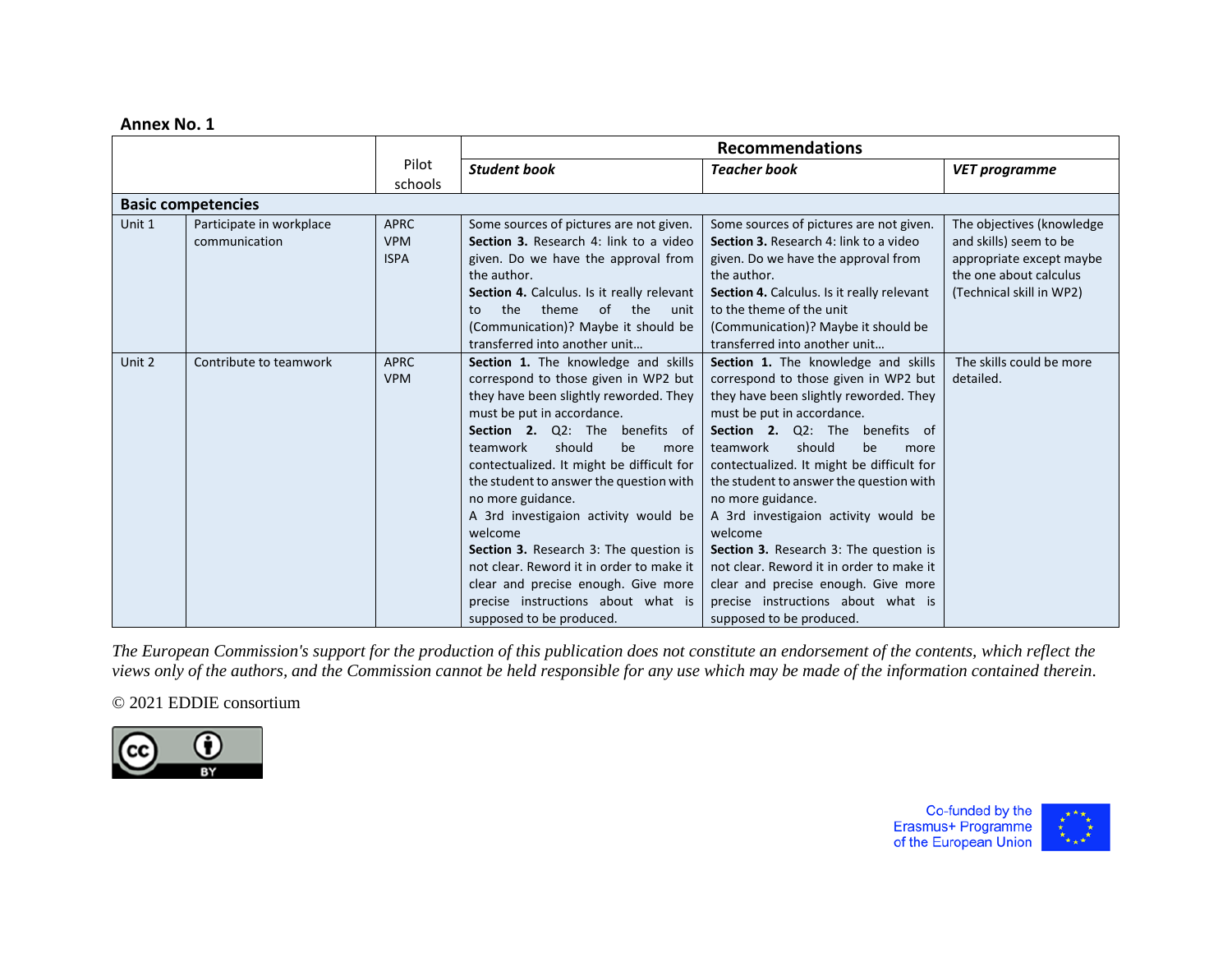### **Annex No. 1**

|        |                           |             |                                            | <b>Recommendations</b>                            |                            |
|--------|---------------------------|-------------|--------------------------------------------|---------------------------------------------------|----------------------------|
|        |                           | Pilot       | <b>Student book</b>                        | <b>Teacher book</b>                               | <b>VET programme</b>       |
|        |                           | schools     |                                            |                                                   |                            |
|        | <b>Basic competencies</b> |             |                                            |                                                   |                            |
| Unit 1 | Participate in workplace  | <b>APRC</b> | Some sources of pictures are not given.    | Some sources of pictures are not given.           | The objectives (knowledge) |
|        | communication             | <b>VPM</b>  | Section 3. Research 4: link to a video     | Section 3. Research 4: link to a video            | and skills) seem to be     |
|        |                           | <b>ISPA</b> | given. Do we have the approval from        | given. Do we have the approval from               | appropriate except maybe   |
|        |                           |             | the author.                                | the author.                                       | the one about calculus     |
|        |                           |             | Section 4. Calculus. Is it really relevant | <b>Section 4.</b> Calculus. Is it really relevant | (Technical skill in WP2)   |
|        |                           |             | the<br>of<br>theme<br>the<br>unit<br>to    | to the theme of the unit                          |                            |
|        |                           |             | (Communication)? Maybe it should be        | (Communication)? Maybe it should be               |                            |
|        |                           |             | transferred into another unit              | transferred into another unit                     |                            |
| Unit 2 | Contribute to teamwork    | <b>APRC</b> | Section 1. The knowledge and skills        | Section 1. The knowledge and skills               | The skills could be more   |
|        |                           | <b>VPM</b>  | correspond to those given in WP2 but       | correspond to those given in WP2 but              | detailed.                  |
|        |                           |             | they have been slightly reworded. They     | they have been slightly reworded. They            |                            |
|        |                           |             | must be put in accordance.                 | must be put in accordance.                        |                            |
|        |                           |             | <b>Section 2.</b> Q2: The benefits of      | Section 2. Q2: The<br>benefits of                 |                            |
|        |                           |             | should<br>teamwork<br>be<br>more           | should<br>teamwork<br>be<br>more                  |                            |
|        |                           |             | contectualized. It might be difficult for  | contectualized. It might be difficult for         |                            |
|        |                           |             | the student to answer the question with    | the student to answer the question with           |                            |
|        |                           |             | no more guidance.                          | no more guidance.                                 |                            |
|        |                           |             | A 3rd investigaion activity would be       | A 3rd investigaion activity would be              |                            |
|        |                           |             | welcome                                    | welcome                                           |                            |
|        |                           |             | Section 3. Research 3: The question is     | Section 3. Research 3: The question is            |                            |
|        |                           |             | not clear. Reword it in order to make it   | not clear. Reword it in order to make it          |                            |
|        |                           |             | clear and precise enough. Give more        | clear and precise enough. Give more               |                            |
|        |                           |             | precise instructions about what is         | precise instructions about what is                |                            |
|        |                           |             | supposed to be produced.                   | supposed to be produced.                          |                            |

*The European Commission's support for the production of this publication does not constitute an endorsement of the contents, which reflect the views only of the authors, and the Commission cannot be held responsible for any use which may be made of the information contained therein*.

## © 2021 EDDIE consortium



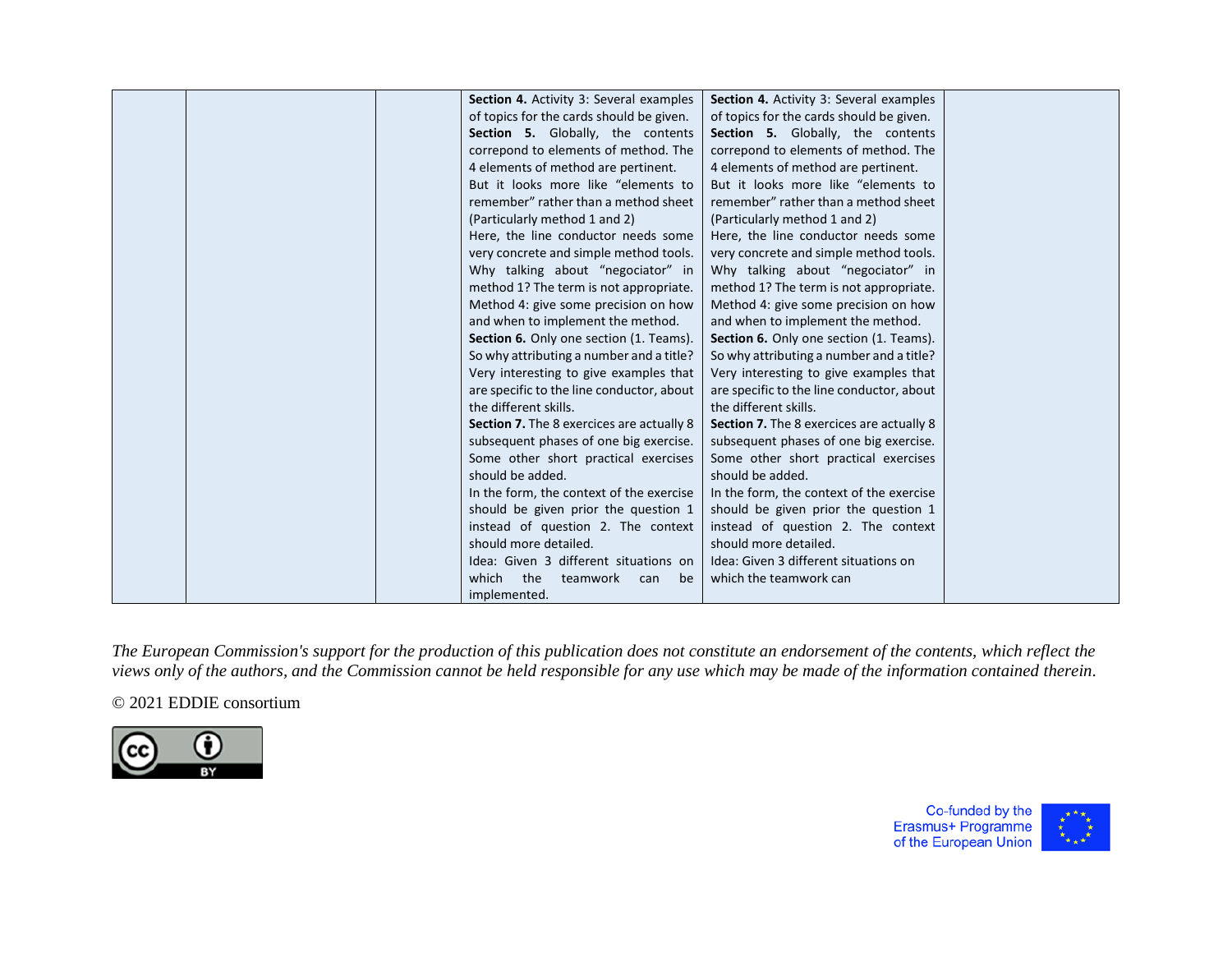| <b>Section 4.</b> Activity 3: Several examples | <b>Section 4.</b> Activity 3: Several examples |  |
|------------------------------------------------|------------------------------------------------|--|
| of topics for the cards should be given.       | of topics for the cards should be given.       |  |
| Section 5. Globally, the contents              | Section 5. Globally, the contents              |  |
| correpond to elements of method. The           | correpond to elements of method. The           |  |
| 4 elements of method are pertinent.            | 4 elements of method are pertinent.            |  |
| But it looks more like "elements to            | But it looks more like "elements to            |  |
| remember" rather than a method sheet           | remember" rather than a method sheet           |  |
| (Particularly method 1 and 2)                  | (Particularly method 1 and 2)                  |  |
| Here, the line conductor needs some            | Here, the line conductor needs some            |  |
| very concrete and simple method tools.         | very concrete and simple method tools.         |  |
| Why talking about "negociator" in              | Why talking about "negociator" in              |  |
| method 1? The term is not appropriate.         | method 1? The term is not appropriate.         |  |
| Method 4: give some precision on how           | Method 4: give some precision on how           |  |
| and when to implement the method.              | and when to implement the method.              |  |
| Section 6. Only one section (1. Teams).        | Section 6. Only one section (1. Teams).        |  |
| So why attributing a number and a title?       |                                                |  |
|                                                | So why attributing a number and a title?       |  |
| Very interesting to give examples that         | Very interesting to give examples that         |  |
| are specific to the line conductor, about      | are specific to the line conductor, about      |  |
| the different skills.                          | the different skills.                          |  |
| Section 7. The 8 exercices are actually 8      | Section 7. The 8 exercices are actually 8      |  |
| subsequent phases of one big exercise.         | subsequent phases of one big exercise.         |  |
| Some other short practical exercises           | Some other short practical exercises           |  |
| should be added.                               | should be added.                               |  |
| In the form, the context of the exercise       | In the form, the context of the exercise       |  |
| should be given prior the question 1           | should be given prior the question 1           |  |
| instead of question 2. The context             | instead of question 2. The context             |  |
| should more detailed.                          | should more detailed.                          |  |
| Idea: Given 3 different situations on          | Idea: Given 3 different situations on          |  |
| which<br>the<br>teamwork<br>be<br>can          | which the teamwork can                         |  |
| implemented.                                   |                                                |  |

# © 2021 EDDIE consortium



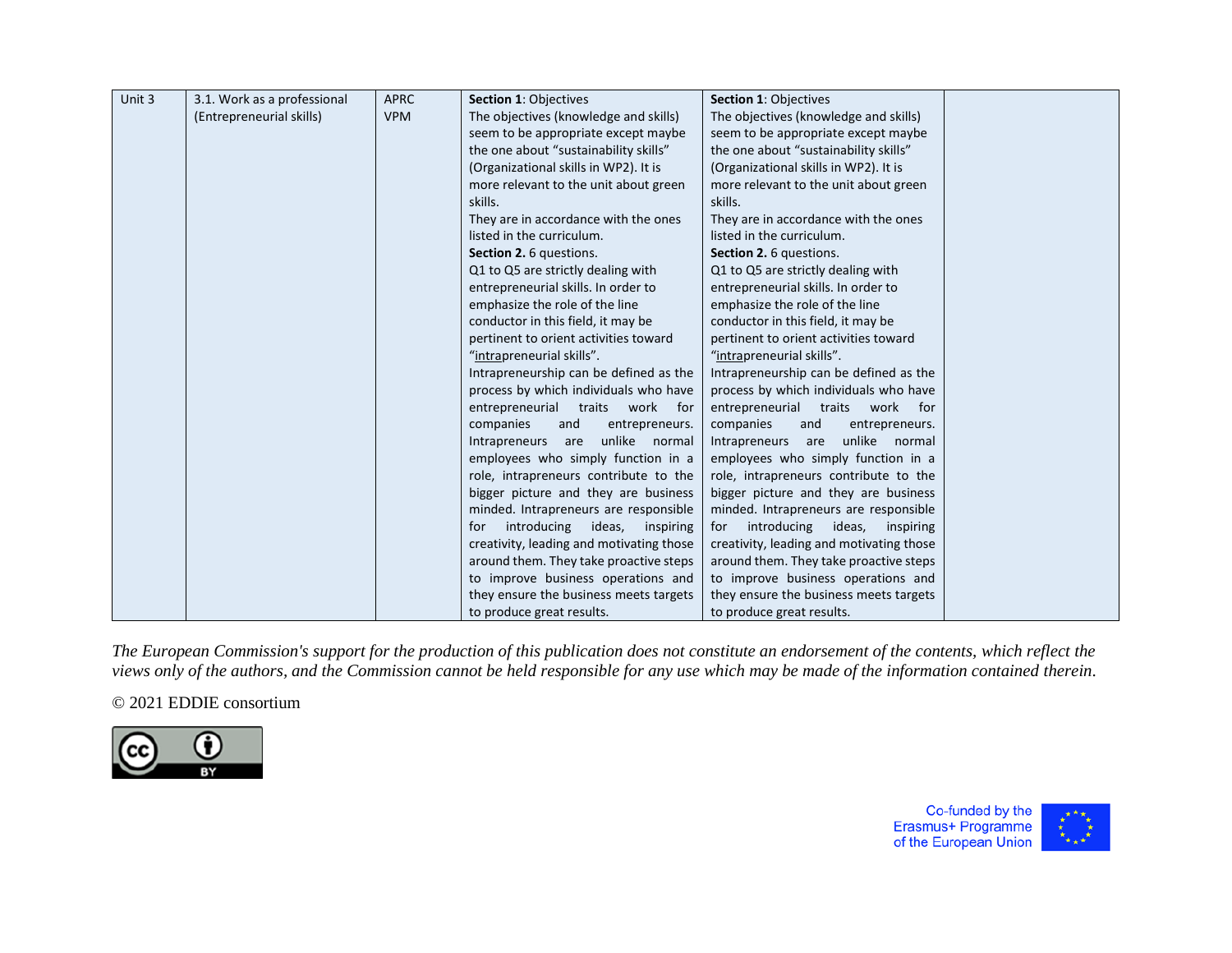| Unit 3 | 3.1. Work as a professional | <b>APRC</b> | Section 1: Objectives                          | Section 1: Objectives                     |  |
|--------|-----------------------------|-------------|------------------------------------------------|-------------------------------------------|--|
|        | (Entrepreneurial skills)    | <b>VPM</b>  | The objectives (knowledge and skills)          | The objectives (knowledge and skills)     |  |
|        |                             |             | seem to be appropriate except maybe            | seem to be appropriate except maybe       |  |
|        |                             |             | the one about "sustainability skills"          | the one about "sustainability skills"     |  |
|        |                             |             | (Organizational skills in WP2). It is          | (Organizational skills in WP2). It is     |  |
|        |                             |             | more relevant to the unit about green          | more relevant to the unit about green     |  |
|        |                             |             | skills.                                        | skills.                                   |  |
|        |                             |             | They are in accordance with the ones           | They are in accordance with the ones      |  |
|        |                             |             | listed in the curriculum.                      | listed in the curriculum.                 |  |
|        |                             |             | Section 2. 6 questions.                        | Section 2. 6 questions.                   |  |
|        |                             |             | Q1 to Q5 are strictly dealing with             | Q1 to Q5 are strictly dealing with        |  |
|        |                             |             | entrepreneurial skills. In order to            | entrepreneurial skills. In order to       |  |
|        |                             |             | emphasize the role of the line                 | emphasize the role of the line            |  |
|        |                             |             | conductor in this field, it may be             | conductor in this field, it may be        |  |
|        |                             |             | pertinent to orient activities toward          | pertinent to orient activities toward     |  |
|        |                             |             | "intrapreneurial skills".                      | "intrapreneurial skills".                 |  |
|        |                             |             | Intrapreneurship can be defined as the         | Intrapreneurship can be defined as the    |  |
|        |                             |             | process by which individuals who have          | process by which individuals who have     |  |
|        |                             |             | entrepreneurial traits<br>work<br>for <b>f</b> | entrepreneurial traits work<br>for        |  |
|        |                             |             | companies<br>and<br>entrepreneurs.             | companies<br>and<br>entrepreneurs.        |  |
|        |                             |             | unlike normal<br>Intrapreneurs are             | unlike normal<br>Intrapreneurs are        |  |
|        |                             |             | employees who simply function in a             | employees who simply function in a        |  |
|        |                             |             | role, intrapreneurs contribute to the          | role, intrapreneurs contribute to the     |  |
|        |                             |             | bigger picture and they are business           | bigger picture and they are business      |  |
|        |                             |             | minded. Intrapreneurs are responsible          | minded. Intrapreneurs are responsible     |  |
|        |                             |             | introducing ideas,<br>inspiring<br>for         | introducing<br>ideas,<br>inspiring<br>for |  |
|        |                             |             | creativity, leading and motivating those       | creativity, leading and motivating those  |  |
|        |                             |             | around them. They take proactive steps         | around them. They take proactive steps    |  |
|        |                             |             | to improve business operations and             | to improve business operations and        |  |
|        |                             |             | they ensure the business meets targets         | they ensure the business meets targets    |  |
|        |                             |             | to produce great results.                      | to produce great results.                 |  |

# © 2021 EDDIE consortium



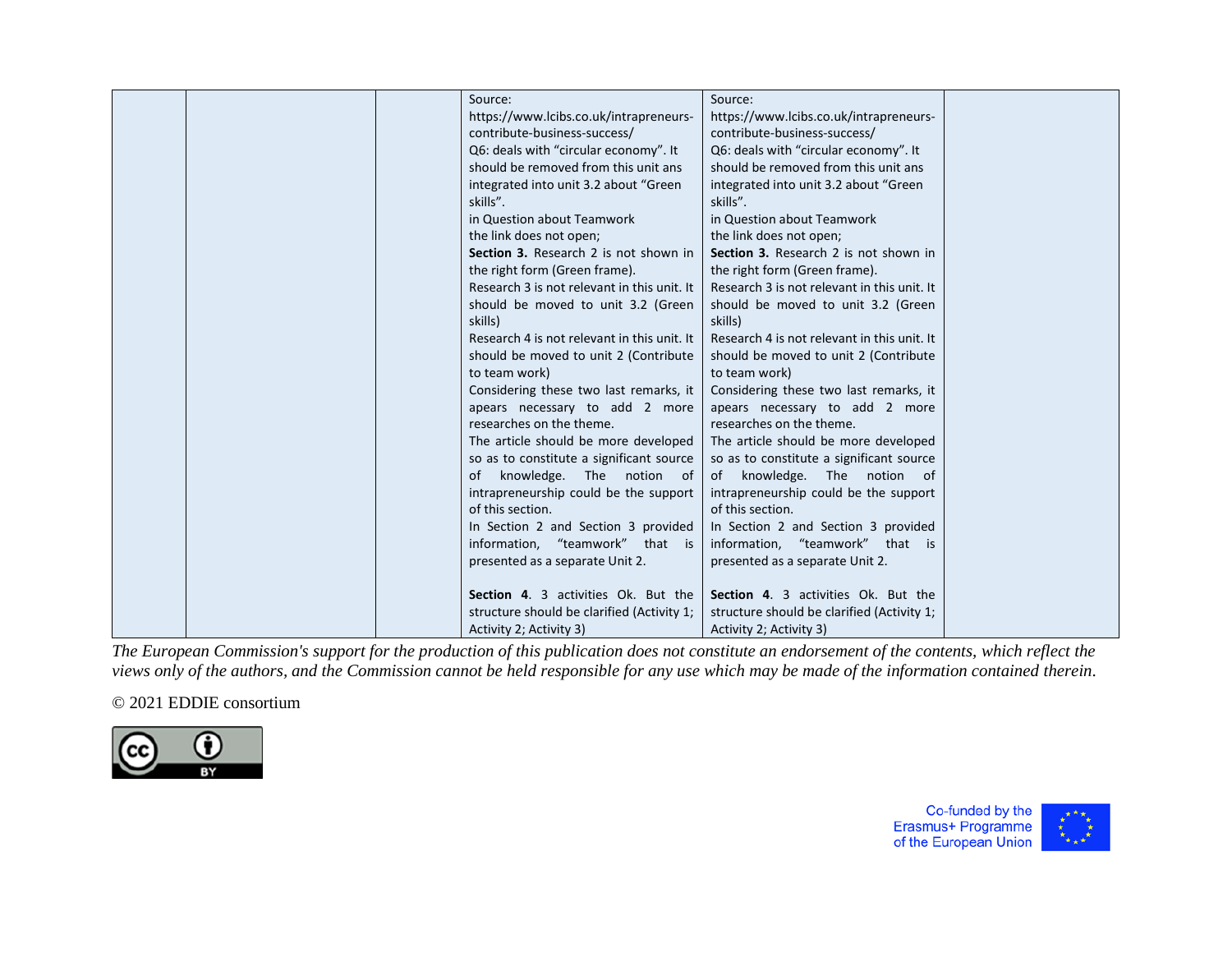| Source:                                     | Source:                                     |  |
|---------------------------------------------|---------------------------------------------|--|
|                                             |                                             |  |
| https://www.lcibs.co.uk/intrapreneurs-      | https://www.lcibs.co.uk/intrapreneurs-      |  |
| contribute-business-success/                | contribute-business-success/                |  |
| Q6: deals with "circular economy". It       | Q6: deals with "circular economy". It       |  |
| should be removed from this unit ans        | should be removed from this unit ans        |  |
| integrated into unit 3.2 about "Green       | integrated into unit 3.2 about "Green       |  |
| skills".                                    | skills".                                    |  |
| in Question about Teamwork                  | in Question about Teamwork                  |  |
| the link does not open;                     | the link does not open;                     |  |
| Section 3. Research 2 is not shown in       | Section 3. Research 2 is not shown in       |  |
| the right form (Green frame).               | the right form (Green frame).               |  |
| Research 3 is not relevant in this unit. It | Research 3 is not relevant in this unit. It |  |
| should be moved to unit 3.2 (Green          | should be moved to unit 3.2 (Green          |  |
| skills)                                     | skills)                                     |  |
| Research 4 is not relevant in this unit. It | Research 4 is not relevant in this unit. It |  |
| should be moved to unit 2 (Contribute       | should be moved to unit 2 (Contribute       |  |
| to team work)                               | to team work)                               |  |
| Considering these two last remarks, it      | Considering these two last remarks, it      |  |
| apears necessary to add 2 more              | apears necessary to add 2 more              |  |
| researches on the theme.                    | researches on the theme.                    |  |
| The article should be more developed        | The article should be more developed        |  |
| so as to constitute a significant source    | so as to constitute a significant source    |  |
| of knowledge. The notion of                 | of knowledge. The notion of                 |  |
| intrapreneurship could be the support       | intrapreneurship could be the support       |  |
| of this section.                            | of this section.                            |  |
| In Section 2 and Section 3 provided         | In Section 2 and Section 3 provided         |  |
| information, "teamwork" that is             | information, "teamwork" that is             |  |
|                                             |                                             |  |
| presented as a separate Unit 2.             | presented as a separate Unit 2.             |  |
| <b>Section 4. 3 activities Ok. But the</b>  | Section 4. 3 activities Ok. But the         |  |
|                                             |                                             |  |
| structure should be clarified (Activity 1;  | structure should be clarified (Activity 1;  |  |
| Activity 2; Activity 3)                     | Activity 2; Activity 3)                     |  |

## © 2021 EDDIE consortium



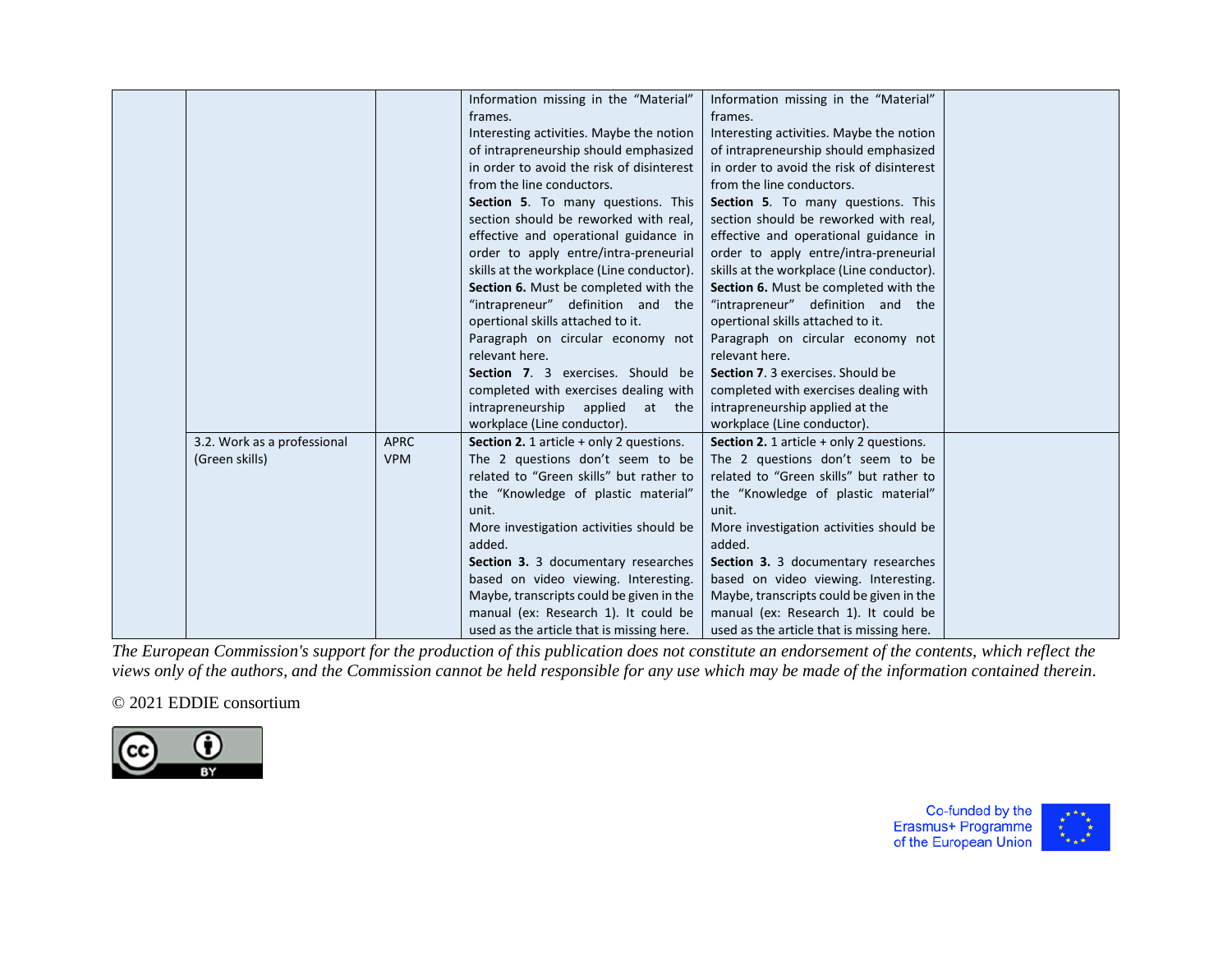|                             |             | Information missing in the "Material"<br>frames. | Information missing in the "Material"<br>frames.  |  |
|-----------------------------|-------------|--------------------------------------------------|---------------------------------------------------|--|
|                             |             | Interesting activities. Maybe the notion         | Interesting activities. Maybe the notion          |  |
|                             |             | of intrapreneurship should emphasized            | of intrapreneurship should emphasized             |  |
|                             |             | in order to avoid the risk of disinterest        | in order to avoid the risk of disinterest         |  |
|                             |             | from the line conductors.                        | from the line conductors.                         |  |
|                             |             | Section 5. To many questions. This               | Section 5. To many questions. This                |  |
|                             |             | section should be reworked with real,            | section should be reworked with real,             |  |
|                             |             | effective and operational guidance in            | effective and operational guidance in             |  |
|                             |             | order to apply entre/intra-preneurial            | order to apply entre/intra-preneurial             |  |
|                             |             | skills at the workplace (Line conductor).        | skills at the workplace (Line conductor).         |  |
|                             |             | Section 6. Must be completed with the            | Section 6. Must be completed with the             |  |
|                             |             | "intrapreneur" definition and the                | "intrapreneur" definition and the                 |  |
|                             |             | opertional skills attached to it.                | opertional skills attached to it.                 |  |
|                             |             | Paragraph on circular economy not                | Paragraph on circular economy not                 |  |
|                             |             | relevant here.                                   | relevant here.                                    |  |
|                             |             | Section 7. 3 exercises. Should be                | Section 7. 3 exercises. Should be                 |  |
|                             |             | completed with exercises dealing with            | completed with exercises dealing with             |  |
|                             |             | intrapreneurship applied<br>at the               | intrapreneurship applied at the                   |  |
|                             |             | workplace (Line conductor).                      | workplace (Line conductor).                       |  |
| 3.2. Work as a professional | <b>APRC</b> | Section 2. 1 article + only 2 questions.         | <b>Section 2.</b> 1 article $+$ only 2 questions. |  |
| (Green skills)              | <b>VPM</b>  | The 2 questions don't seem to be                 | The 2 questions don't seem to be                  |  |
|                             |             | related to "Green skills" but rather to          | related to "Green skills" but rather to           |  |
|                             |             | the "Knowledge of plastic material"              | the "Knowledge of plastic material"               |  |
|                             |             | unit.                                            | unit.                                             |  |
|                             |             | More investigation activities should be          | More investigation activities should be           |  |
|                             |             | added.                                           | added.                                            |  |
|                             |             | Section 3. 3 documentary researches              | Section 3. 3 documentary researches               |  |
|                             |             | based on video viewing. Interesting.             | based on video viewing. Interesting.              |  |
|                             |             | Maybe, transcripts could be given in the         | Maybe, transcripts could be given in the          |  |
|                             |             | manual (ex: Research 1). It could be             | manual (ex: Research 1). It could be              |  |
|                             |             | used as the article that is missing here.        | used as the article that is missing here.         |  |

## © 2021 EDDIE consortium



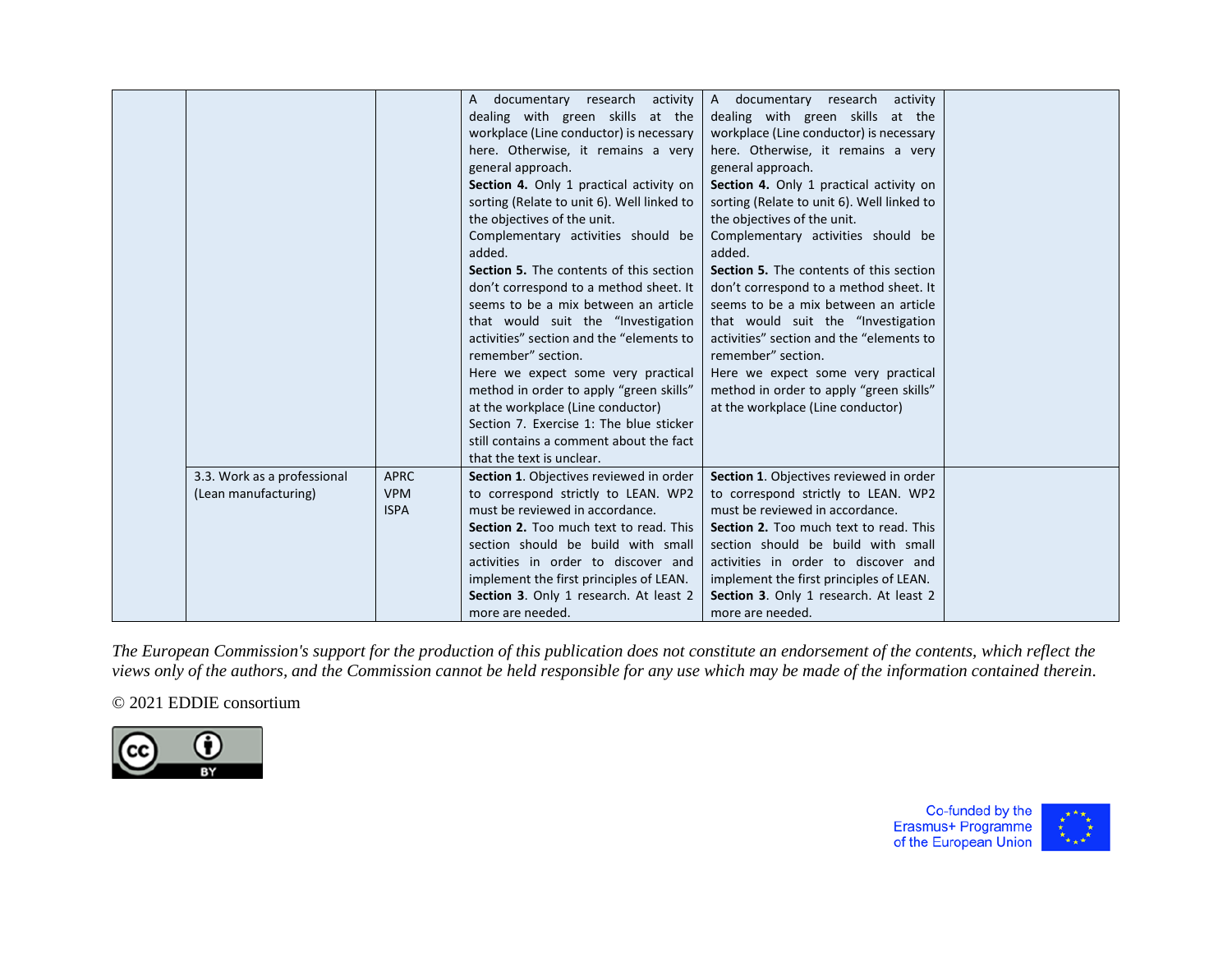|                             |             | A documentary research activity                | A documentary research<br>activity             |  |
|-----------------------------|-------------|------------------------------------------------|------------------------------------------------|--|
|                             |             | dealing with green skills at the               | dealing with green skills at the               |  |
|                             |             | workplace (Line conductor) is necessary        | workplace (Line conductor) is necessary        |  |
|                             |             | here. Otherwise, it remains a very             | here. Otherwise, it remains a very             |  |
|                             |             | general approach.                              | general approach.                              |  |
|                             |             | Section 4. Only 1 practical activity on        | Section 4. Only 1 practical activity on        |  |
|                             |             | sorting (Relate to unit 6). Well linked to     | sorting (Relate to unit 6). Well linked to     |  |
|                             |             | the objectives of the unit.                    | the objectives of the unit.                    |  |
|                             |             | Complementary activities should be             | Complementary activities should be             |  |
|                             |             | added.                                         | added.                                         |  |
|                             |             | <b>Section 5.</b> The contents of this section | <b>Section 5.</b> The contents of this section |  |
|                             |             | don't correspond to a method sheet. It         | don't correspond to a method sheet. It         |  |
|                             |             | seems to be a mix between an article           | seems to be a mix between an article           |  |
|                             |             | that would suit the "Investigation             | that would suit the "Investigation             |  |
|                             |             | activities" section and the "elements to       | activities" section and the "elements to       |  |
|                             |             | remember" section.                             | remember" section.                             |  |
|                             |             | Here we expect some very practical             | Here we expect some very practical             |  |
|                             |             | method in order to apply "green skills"        | method in order to apply "green skills"        |  |
|                             |             | at the workplace (Line conductor)              | at the workplace (Line conductor)              |  |
|                             |             | Section 7. Exercise 1: The blue sticker        |                                                |  |
|                             |             | still contains a comment about the fact        |                                                |  |
|                             |             | that the text is unclear.                      |                                                |  |
| 3.3. Work as a professional | <b>APRC</b> | Section 1. Objectives reviewed in order        | Section 1. Objectives reviewed in order        |  |
| (Lean manufacturing)        | <b>VPM</b>  | to correspond strictly to LEAN. WP2            | to correspond strictly to LEAN. WP2            |  |
|                             | <b>ISPA</b> | must be reviewed in accordance.                | must be reviewed in accordance.                |  |
|                             |             | Section 2. Too much text to read. This         | Section 2. Too much text to read. This         |  |
|                             |             | section should be build with small             | section should be build with small             |  |
|                             |             | activities in order to discover and            | activities in order to discover and            |  |
|                             |             | implement the first principles of LEAN.        | implement the first principles of LEAN.        |  |
|                             |             | Section 3. Only 1 research. At least 2         | Section 3. Only 1 research. At least 2         |  |
|                             |             | more are needed.                               | more are needed.                               |  |

# © 2021 EDDIE consortium



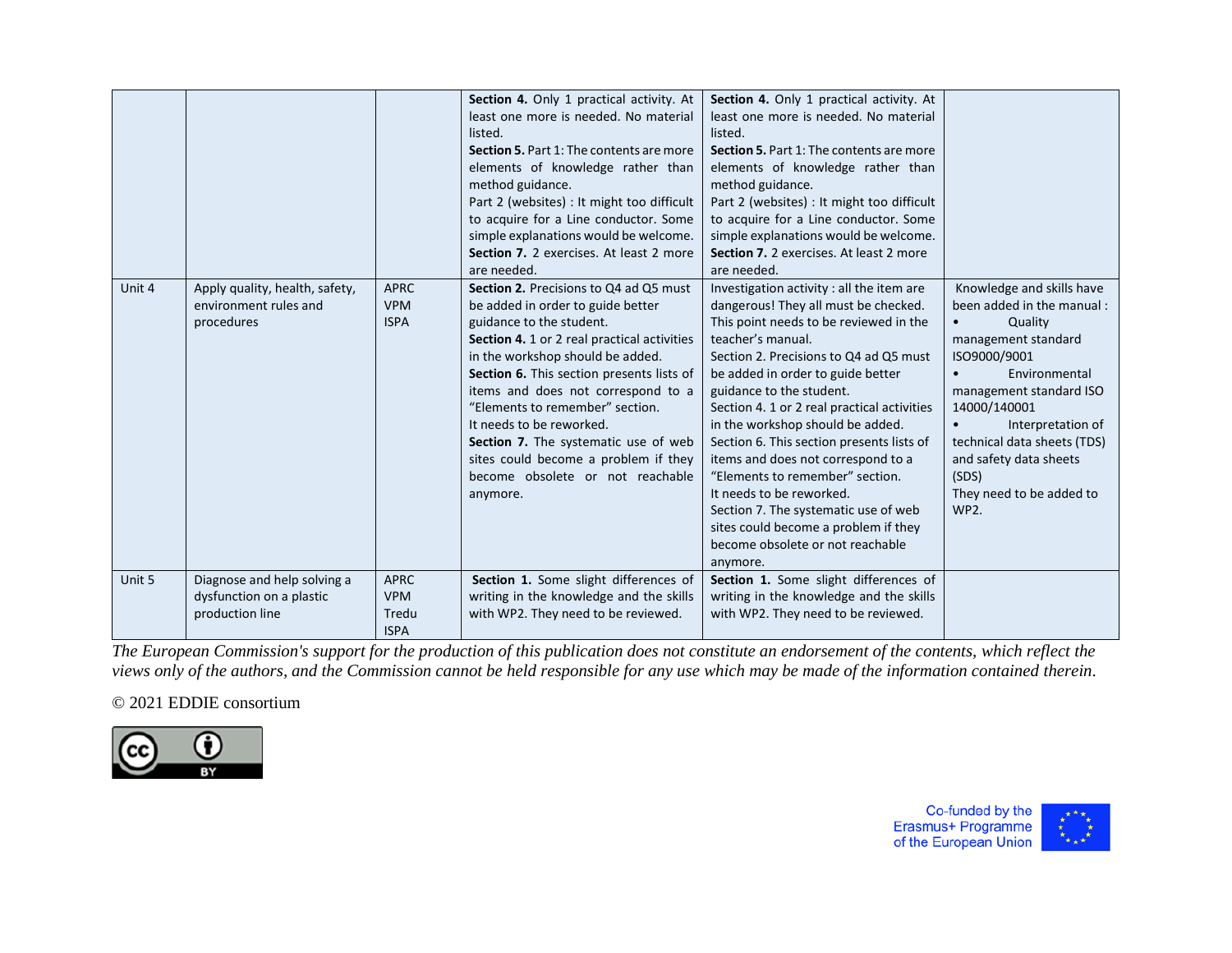|        |                                                                            |                                                   | Section 4. Only 1 practical activity. At<br>least one more is needed. No material<br>listed.<br>Section 5. Part 1: The contents are more<br>elements of knowledge rather than<br>method guidance.<br>Part 2 (websites) : It might too difficult<br>to acquire for a Line conductor. Some<br>simple explanations would be welcome.<br>Section 7. 2 exercises. At least 2 more<br>are needed.                                                                                         | Section 4. Only 1 practical activity. At<br>least one more is needed. No material<br>listed.<br><b>Section 5. Part 1: The contents are more</b><br>elements of knowledge rather than<br>method guidance.<br>Part 2 (websites) : It might too difficult<br>to acquire for a Line conductor. Some<br>simple explanations would be welcome.<br>Section 7. 2 exercises. At least 2 more<br>are needed.                                                                                                                                                                                                                               |                                                                                                                                                                                                                                                                                                                           |
|--------|----------------------------------------------------------------------------|---------------------------------------------------|-------------------------------------------------------------------------------------------------------------------------------------------------------------------------------------------------------------------------------------------------------------------------------------------------------------------------------------------------------------------------------------------------------------------------------------------------------------------------------------|----------------------------------------------------------------------------------------------------------------------------------------------------------------------------------------------------------------------------------------------------------------------------------------------------------------------------------------------------------------------------------------------------------------------------------------------------------------------------------------------------------------------------------------------------------------------------------------------------------------------------------|---------------------------------------------------------------------------------------------------------------------------------------------------------------------------------------------------------------------------------------------------------------------------------------------------------------------------|
| Unit 4 | Apply quality, health, safety,<br>environment rules and<br>procedures      | <b>APRC</b><br><b>VPM</b><br><b>ISPA</b>          | <b>Section 2.</b> Precisions to Q4 ad Q5 must<br>be added in order to guide better<br>guidance to the student.<br>Section 4. 1 or 2 real practical activities<br>in the workshop should be added.<br>Section 6. This section presents lists of<br>items and does not correspond to a<br>"Elements to remember" section.<br>It needs to be reworked.<br>Section 7. The systematic use of web<br>sites could become a problem if they<br>become obsolete or not reachable<br>anymore. | Investigation activity : all the item are<br>dangerous! They all must be checked.<br>This point needs to be reviewed in the<br>teacher's manual.<br>Section 2. Precisions to Q4 ad Q5 must<br>be added in order to guide better<br>guidance to the student.<br>Section 4. 1 or 2 real practical activities<br>in the workshop should be added.<br>Section 6. This section presents lists of<br>items and does not correspond to a<br>"Elements to remember" section.<br>It needs to be reworked.<br>Section 7. The systematic use of web<br>sites could become a problem if they<br>become obsolete or not reachable<br>anymore. | Knowledge and skills have<br>been added in the manual:<br>Quality<br>$\bullet$<br>management standard<br>ISO9000/9001<br>Environmental<br>$\bullet$<br>management standard ISO<br>14000/140001<br>Interpretation of<br>technical data sheets (TDS)<br>and safety data sheets<br>(SDS)<br>They need to be added to<br>WP2. |
| Unit 5 | Diagnose and help solving a<br>dysfunction on a plastic<br>production line | <b>APRC</b><br><b>VPM</b><br>Tredu<br><b>ISPA</b> | Section 1. Some slight differences of<br>writing in the knowledge and the skills<br>with WP2. They need to be reviewed.                                                                                                                                                                                                                                                                                                                                                             | Section 1. Some slight differences of<br>writing in the knowledge and the skills<br>with WP2. They need to be reviewed.                                                                                                                                                                                                                                                                                                                                                                                                                                                                                                          |                                                                                                                                                                                                                                                                                                                           |

## © 2021 EDDIE consortium



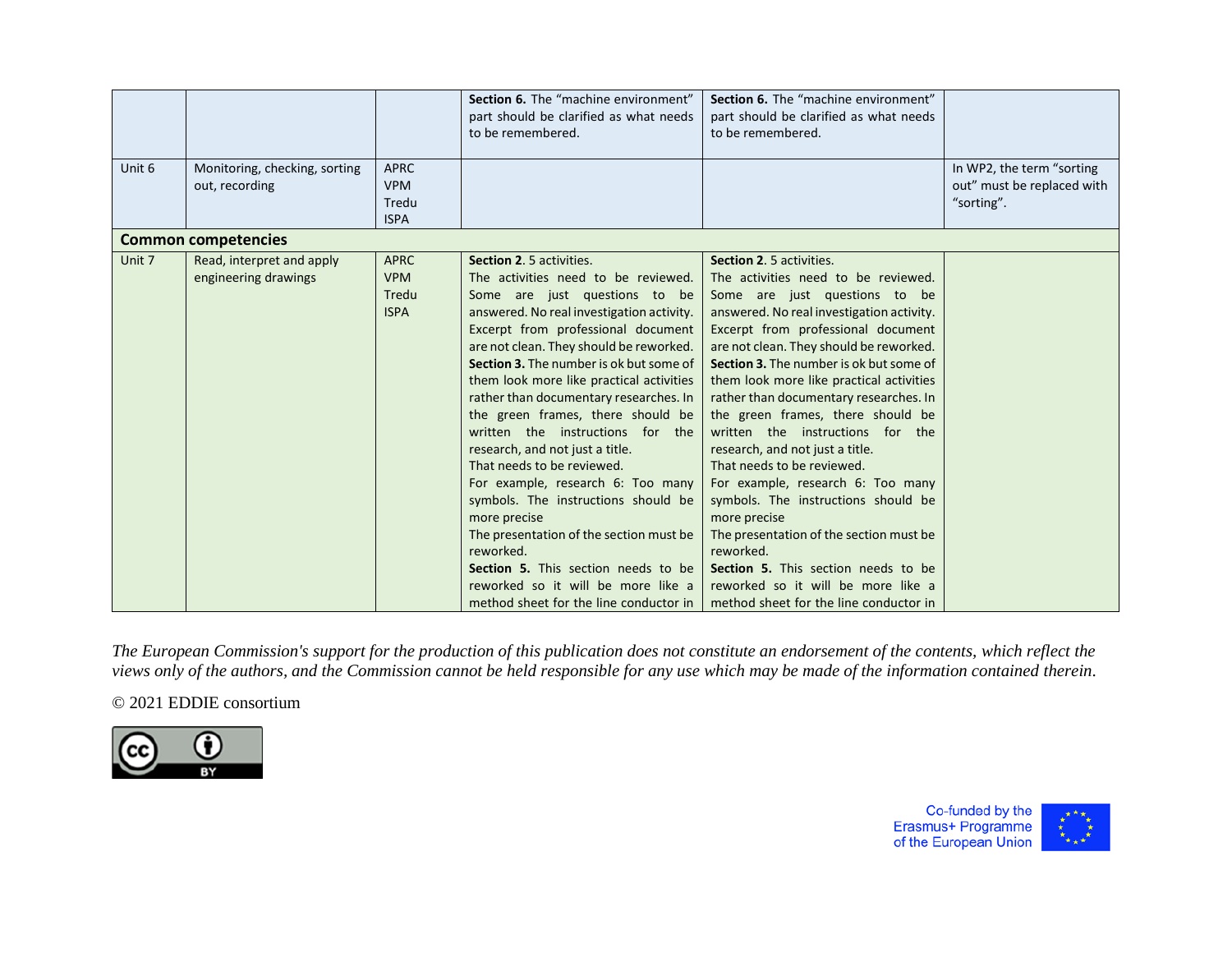| Unit 6 |                                                   | <b>APRC</b>                                       | Section 6. The "machine environment"<br>part should be clarified as what needs<br>to be remembered.                                                                                                                                                                                                                                                                                                                                                                                                                                                                                                                                                                                                                                                                                  | Section 6. The "machine environment"<br>part should be clarified as what needs<br>to be remembered.                                                                                                                                                                                                                                                                                                                                                                                                                                                                                                                                                                                                                                                                                         |                                                                       |
|--------|---------------------------------------------------|---------------------------------------------------|--------------------------------------------------------------------------------------------------------------------------------------------------------------------------------------------------------------------------------------------------------------------------------------------------------------------------------------------------------------------------------------------------------------------------------------------------------------------------------------------------------------------------------------------------------------------------------------------------------------------------------------------------------------------------------------------------------------------------------------------------------------------------------------|---------------------------------------------------------------------------------------------------------------------------------------------------------------------------------------------------------------------------------------------------------------------------------------------------------------------------------------------------------------------------------------------------------------------------------------------------------------------------------------------------------------------------------------------------------------------------------------------------------------------------------------------------------------------------------------------------------------------------------------------------------------------------------------------|-----------------------------------------------------------------------|
|        | Monitoring, checking, sorting<br>out, recording   | <b>VPM</b><br>Tredu<br><b>ISPA</b>                |                                                                                                                                                                                                                                                                                                                                                                                                                                                                                                                                                                                                                                                                                                                                                                                      |                                                                                                                                                                                                                                                                                                                                                                                                                                                                                                                                                                                                                                                                                                                                                                                             | In WP2, the term "sorting<br>out" must be replaced with<br>"sorting". |
|        | <b>Common competencies</b>                        |                                                   |                                                                                                                                                                                                                                                                                                                                                                                                                                                                                                                                                                                                                                                                                                                                                                                      |                                                                                                                                                                                                                                                                                                                                                                                                                                                                                                                                                                                                                                                                                                                                                                                             |                                                                       |
| Unit 7 | Read, interpret and apply<br>engineering drawings | <b>APRC</b><br><b>VPM</b><br>Tredu<br><b>ISPA</b> | Section 2. 5 activities.<br>The activities need to be reviewed.<br>Some are just questions to be<br>answered. No real investigation activity.<br>Excerpt from professional document<br>are not clean. They should be reworked.<br>Section 3. The number is ok but some of<br>them look more like practical activities<br>rather than documentary researches. In<br>the green frames, there should be<br>written the instructions for the<br>research, and not just a title.<br>That needs to be reviewed.<br>For example, research 6: Too many<br>symbols. The instructions should be<br>more precise<br>The presentation of the section must be<br>reworked.<br>Section 5. This section needs to be<br>reworked so it will be more like a<br>method sheet for the line conductor in | <b>Section 2. 5 activities.</b><br>The activities need to be reviewed.<br>Some are just questions to be<br>answered. No real investigation activity.<br>Excerpt from professional document<br>are not clean. They should be reworked.<br>Section 3. The number is ok but some of<br>them look more like practical activities<br>rather than documentary researches. In<br>the green frames, there should be<br>written the instructions for the<br>research, and not just a title.<br>That needs to be reviewed.<br>For example, research 6: Too many<br>symbols. The instructions should be<br>more precise<br>The presentation of the section must be<br>reworked.<br>Section 5. This section needs to be<br>reworked so it will be more like a<br>method sheet for the line conductor in |                                                                       |

# © 2021 EDDIE consortium



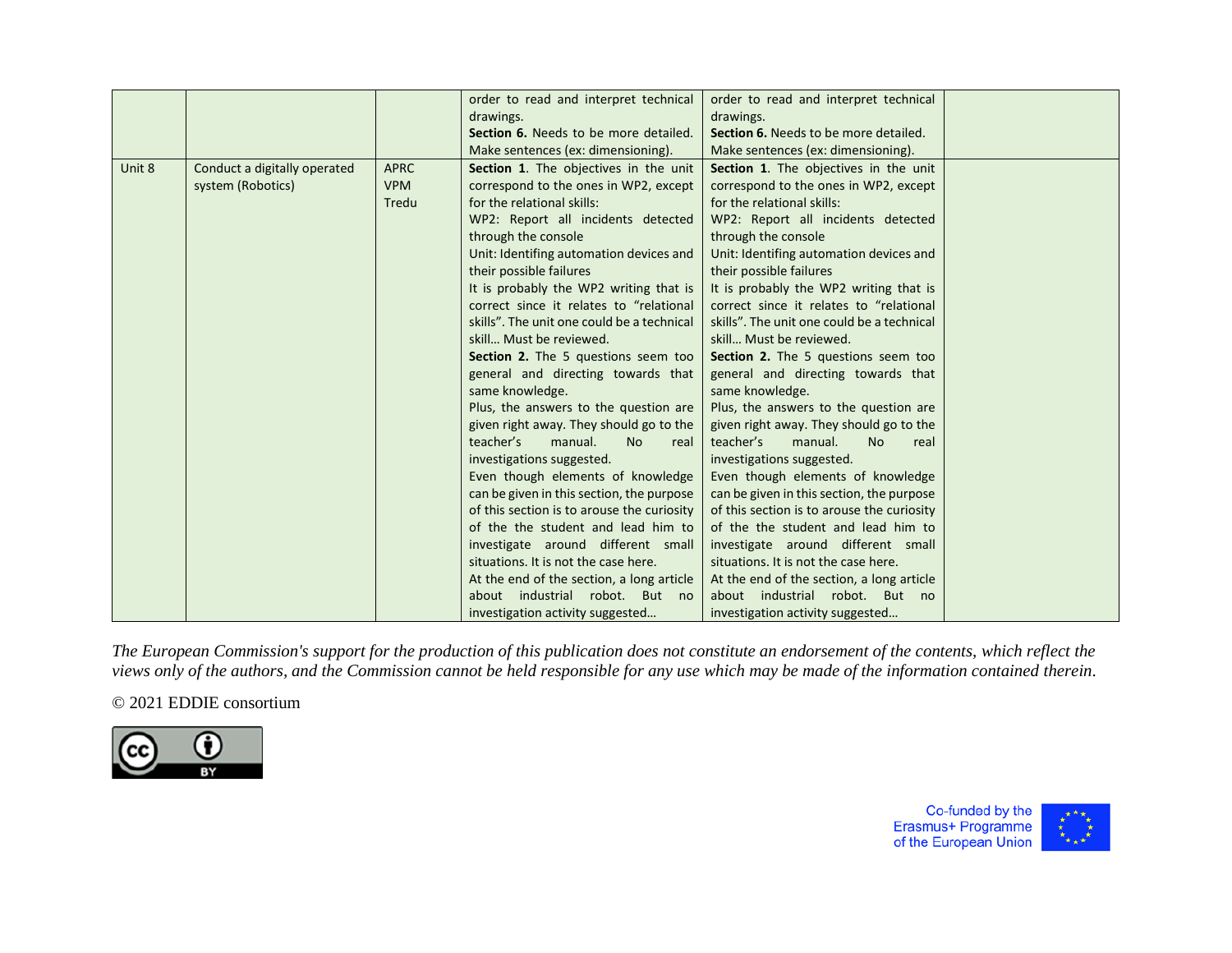|        |                              |             | order to read and interpret technical      | order to read and interpret technical      |  |
|--------|------------------------------|-------------|--------------------------------------------|--------------------------------------------|--|
|        |                              |             | drawings.                                  | drawings.                                  |  |
|        |                              |             | Section 6. Needs to be more detailed.      | Section 6. Needs to be more detailed.      |  |
|        |                              |             | Make sentences (ex: dimensioning).         | Make sentences (ex: dimensioning).         |  |
| Unit 8 | Conduct a digitally operated | <b>APRC</b> | Section 1. The objectives in the unit      | Section 1. The objectives in the unit      |  |
|        | system (Robotics)            | <b>VPM</b>  | correspond to the ones in WP2, except      | correspond to the ones in WP2, except      |  |
|        |                              | Tredu       | for the relational skills:                 | for the relational skills:                 |  |
|        |                              |             | WP2: Report all incidents detected         | WP2: Report all incidents detected         |  |
|        |                              |             | through the console                        | through the console                        |  |
|        |                              |             | Unit: Identifing automation devices and    | Unit: Identifing automation devices and    |  |
|        |                              |             | their possible failures                    | their possible failures                    |  |
|        |                              |             | It is probably the WP2 writing that is     | It is probably the WP2 writing that is     |  |
|        |                              |             | correct since it relates to "relational    | correct since it relates to "relational    |  |
|        |                              |             | skills". The unit one could be a technical | skills". The unit one could be a technical |  |
|        |                              |             | skill Must be reviewed.                    | skill Must be reviewed.                    |  |
|        |                              |             | Section 2. The 5 questions seem too        | Section 2. The 5 questions seem too        |  |
|        |                              |             | general and directing towards that         | general and directing towards that         |  |
|        |                              |             | same knowledge.                            | same knowledge.                            |  |
|        |                              |             | Plus, the answers to the question are      | Plus, the answers to the question are      |  |
|        |                              |             | given right away. They should go to the    | given right away. They should go to the    |  |
|        |                              |             | teacher's<br>manual.<br>No.<br>real        | teacher's<br>manual.<br><b>No</b><br>real  |  |
|        |                              |             | investigations suggested.                  | investigations suggested.                  |  |
|        |                              |             | Even though elements of knowledge          | Even though elements of knowledge          |  |
|        |                              |             | can be given in this section, the purpose  | can be given in this section, the purpose  |  |
|        |                              |             | of this section is to arouse the curiosity | of this section is to arouse the curiosity |  |
|        |                              |             | of the the student and lead him to         | of the the student and lead him to         |  |
|        |                              |             | investigate around different small         | investigate around different small         |  |
|        |                              |             | situations. It is not the case here.       | situations. It is not the case here.       |  |
|        |                              |             | At the end of the section, a long article  | At the end of the section, a long article  |  |
|        |                              |             | about industrial robot. But no             | about industrial robot. But no             |  |
|        |                              |             | investigation activity suggested           | investigation activity suggested           |  |

# © 2021 EDDIE consortium



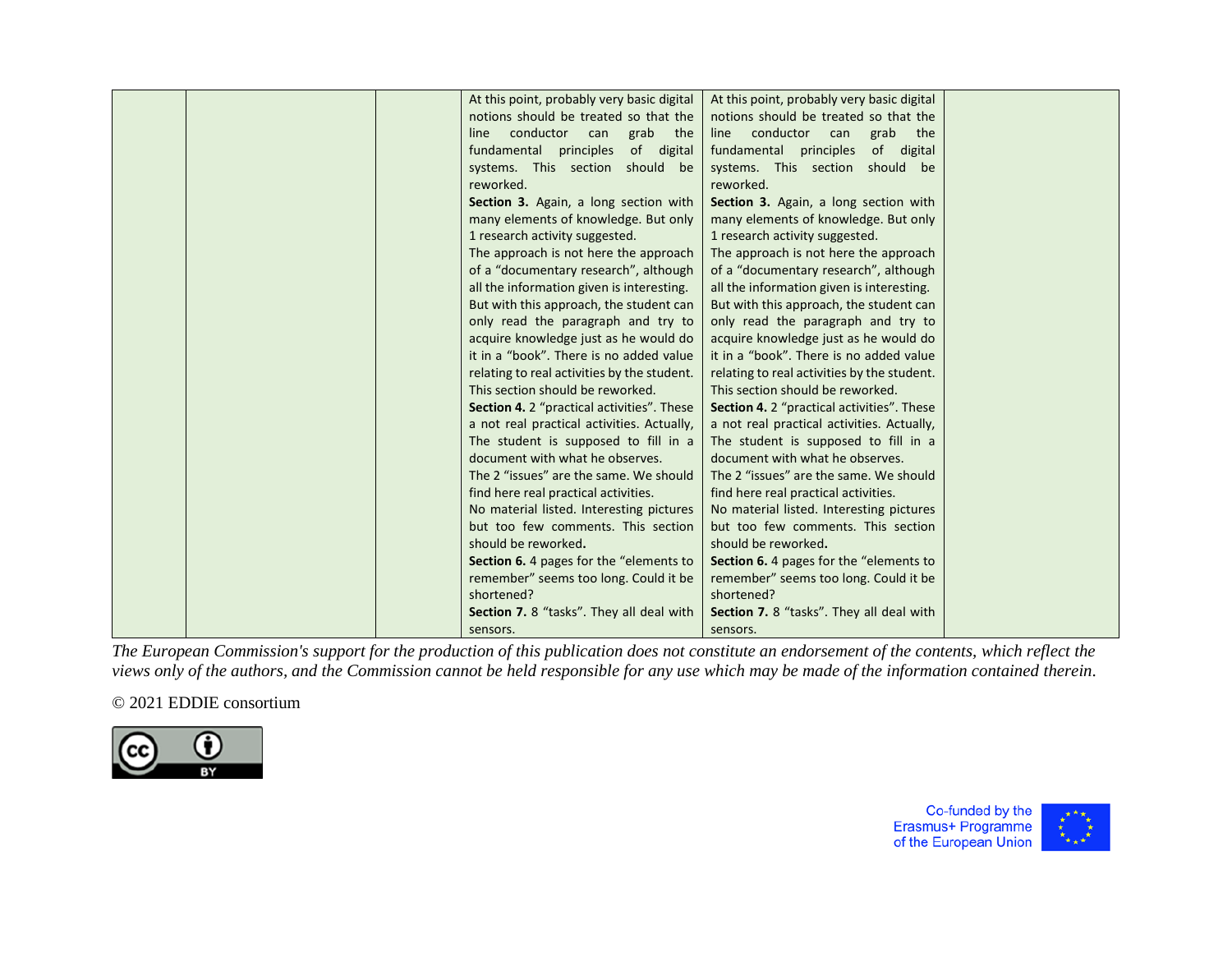| At this point, probably very basic digital        | At this point, probably very basic digital  |  |
|---------------------------------------------------|---------------------------------------------|--|
| notions should be treated so that the             | notions should be treated so that the       |  |
| conductor can<br>grab<br>line<br>the              | conductor can<br>grab<br>line<br>the        |  |
| of digital<br>fundamental principles              | fundamental principles<br>of digital        |  |
| systems. This section should be                   | systems. This section should be             |  |
| reworked.                                         | reworked.                                   |  |
| Section 3. Again, a long section with             | Section 3. Again, a long section with       |  |
| many elements of knowledge. But only              | many elements of knowledge. But only        |  |
| 1 research activity suggested.                    | 1 research activity suggested.              |  |
| The approach is not here the approach             | The approach is not here the approach       |  |
| of a "documentary research", although             | of a "documentary research", although       |  |
| all the information given is interesting.         | all the information given is interesting.   |  |
| But with this approach, the student can           | But with this approach, the student can     |  |
| only read the paragraph and try to                | only read the paragraph and try to          |  |
| acquire knowledge just as he would do             | acquire knowledge just as he would do       |  |
| it in a "book". There is no added value           | it in a "book". There is no added value     |  |
| relating to real activities by the student.       | relating to real activities by the student. |  |
| This section should be reworked.                  | This section should be reworked.            |  |
| <b>Section 4.</b> 2 "practical activities". These | Section 4. 2 "practical activities". These  |  |
| a not real practical activities. Actually,        | a not real practical activities. Actually,  |  |
| The student is supposed to fill in a              | The student is supposed to fill in a        |  |
| document with what he observes.                   | document with what he observes.             |  |
| The 2 "issues" are the same. We should            | The 2 "issues" are the same. We should      |  |
| find here real practical activities.              | find here real practical activities.        |  |
| No material listed. Interesting pictures          | No material listed. Interesting pictures    |  |
| but too few comments. This section                | but too few comments. This section          |  |
| should be reworked.                               | should be reworked.                         |  |
|                                                   |                                             |  |
| Section 6. 4 pages for the "elements to           | Section 6. 4 pages for the "elements to"    |  |
| remember" seems too long. Could it be             | remember" seems too long. Could it be       |  |
| shortened?                                        | shortened?                                  |  |
| <b>Section 7.</b> 8 "tasks". They all deal with   | Section 7. 8 "tasks". They all deal with    |  |
| sensors.                                          | sensors.                                    |  |

# © 2021 EDDIE consortium



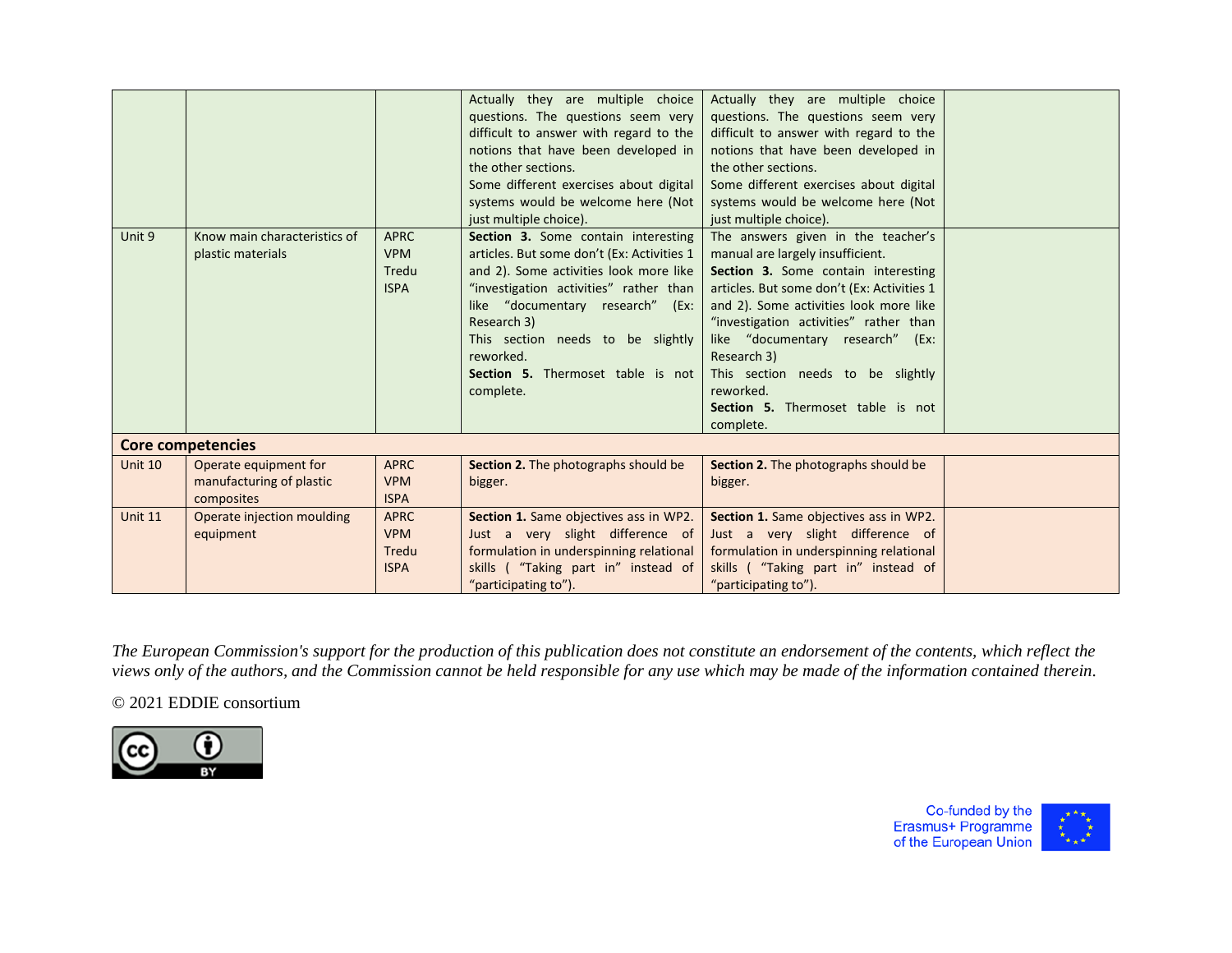|                |                                                                 |                                                   | Actually they are multiple choice<br>questions. The questions seem very<br>difficult to answer with regard to the<br>notions that have been developed in<br>the other sections.<br>Some different exercises about digital<br>systems would be welcome here (Not<br>just multiple choice).                                    | Actually they are multiple choice<br>questions. The questions seem very<br>difficult to answer with regard to the<br>notions that have been developed in<br>the other sections.<br>Some different exercises about digital<br>systems would be welcome here (Not<br>just multiple choice).                                                                                                              |  |
|----------------|-----------------------------------------------------------------|---------------------------------------------------|------------------------------------------------------------------------------------------------------------------------------------------------------------------------------------------------------------------------------------------------------------------------------------------------------------------------------|--------------------------------------------------------------------------------------------------------------------------------------------------------------------------------------------------------------------------------------------------------------------------------------------------------------------------------------------------------------------------------------------------------|--|
| Unit 9         | Know main characteristics of<br>plastic materials               | <b>APRC</b><br><b>VPM</b><br>Tredu<br><b>ISPA</b> | Section 3. Some contain interesting<br>articles. But some don't (Ex: Activities 1<br>and 2). Some activities look more like<br>"investigation activities" rather than<br>like "documentary research" (Ex:<br>Research 3)<br>This section needs to be slightly<br>reworked.<br>Section 5. Thermoset table is not<br>complete. | The answers given in the teacher's<br>manual are largely insufficient.<br>Section 3. Some contain interesting<br>articles. But some don't (Ex: Activities 1<br>and 2). Some activities look more like<br>"investigation activities" rather than<br>like "documentary research" (Ex:<br>Research 3)<br>This section needs to be slightly<br>reworked.<br>Section 5. Thermoset table is not<br>complete. |  |
|                | Core competencies                                               |                                                   |                                                                                                                                                                                                                                                                                                                              |                                                                                                                                                                                                                                                                                                                                                                                                        |  |
| Unit 10        | Operate equipment for<br>manufacturing of plastic<br>composites | <b>APRC</b><br><b>VPM</b><br><b>ISPA</b>          | Section 2. The photographs should be<br>bigger.                                                                                                                                                                                                                                                                              | Section 2. The photographs should be<br>bigger.                                                                                                                                                                                                                                                                                                                                                        |  |
| <b>Unit 11</b> | Operate injection moulding<br>equipment                         | <b>APRC</b><br><b>VPM</b><br>Tredu<br><b>ISPA</b> | Section 1. Same objectives ass in WP2.<br>Just a very slight difference of<br>formulation in underspinning relational<br>skills ("Taking part in" instead of<br>"participating to").                                                                                                                                         | Section 1. Same objectives ass in WP2.<br>Just a very slight difference of<br>formulation in underspinning relational<br>skills ("Taking part in" instead of<br>"participating to").                                                                                                                                                                                                                   |  |

© 2021 EDDIE consortium



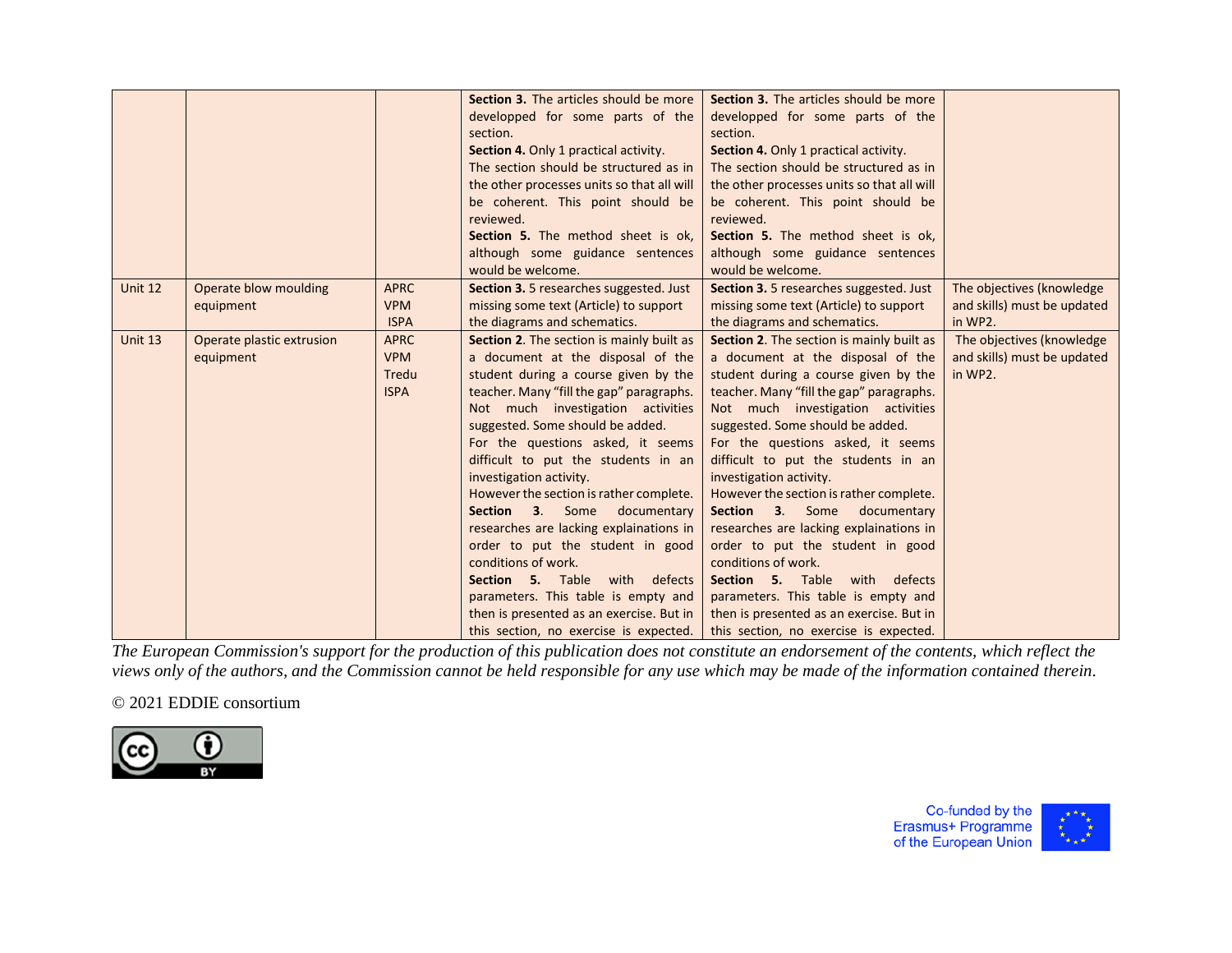|         |                                        |                                                   | Section 3. The articles should be more<br>developped for some parts of the<br>section.<br>Section 4. Only 1 practical activity.<br>The section should be structured as in<br>the other processes units so that all will<br>be coherent. This point should be<br>reviewed.<br>Section 5. The method sheet is ok.<br>although some guidance sentences<br>would be welcome.                                                                                                                                                                                                                                                                                                                                                | Section 3. The articles should be more<br>developped for some parts of the<br>section.<br>Section 4. Only 1 practical activity.<br>The section should be structured as in<br>the other processes units so that all will<br>be coherent. This point should be<br>reviewed.<br>Section 5. The method sheet is ok,<br>although some guidance sentences<br>would be welcome.                                                                                                                                                                                                                                                                                                                               |                                                                      |
|---------|----------------------------------------|---------------------------------------------------|-------------------------------------------------------------------------------------------------------------------------------------------------------------------------------------------------------------------------------------------------------------------------------------------------------------------------------------------------------------------------------------------------------------------------------------------------------------------------------------------------------------------------------------------------------------------------------------------------------------------------------------------------------------------------------------------------------------------------|--------------------------------------------------------------------------------------------------------------------------------------------------------------------------------------------------------------------------------------------------------------------------------------------------------------------------------------------------------------------------------------------------------------------------------------------------------------------------------------------------------------------------------------------------------------------------------------------------------------------------------------------------------------------------------------------------------|----------------------------------------------------------------------|
| Unit 12 | Operate blow moulding<br>equipment     | <b>APRC</b><br><b>VPM</b><br><b>ISPA</b>          | <b>Section 3.</b> 5 researches suggested. Just<br>missing some text (Article) to support<br>the diagrams and schematics.                                                                                                                                                                                                                                                                                                                                                                                                                                                                                                                                                                                                | <b>Section 3.</b> 5 researches suggested. Just<br>missing some text (Article) to support<br>the diagrams and schematics.                                                                                                                                                                                                                                                                                                                                                                                                                                                                                                                                                                               | The objectives (knowledge)<br>and skills) must be updated<br>in WP2. |
| Unit 13 | Operate plastic extrusion<br>equipment | <b>APRC</b><br><b>VPM</b><br>Tredu<br><b>ISPA</b> | Section 2. The section is mainly built as<br>a document at the disposal of the<br>student during a course given by the<br>teacher. Many "fill the gap" paragraphs.<br>Not much investigation activities<br>suggested. Some should be added.<br>For the questions asked, it seems<br>difficult to put the students in an<br>investigation activity.<br>However the section is rather complete.<br><b>Section</b><br>documentary<br>3.<br>Some<br>researches are lacking explainations in<br>order to put the student in good<br>conditions of work.<br><b>Section 5.</b> Table with defects<br>parameters. This table is empty and<br>then is presented as an exercise. But in<br>this section, no exercise is expected. | Section 2. The section is mainly built as<br>a document at the disposal of the<br>student during a course given by the<br>teacher. Many "fill the gap" paragraphs.<br>Not much investigation activities<br>suggested. Some should be added.<br>For the questions asked, it seems<br>difficult to put the students in an<br>investigation activity.<br>However the section is rather complete.<br>Section 3. Some<br>documentary<br>researches are lacking explainations in<br>order to put the student in good<br>conditions of work.<br>Section 5. Table with<br>defects<br>parameters. This table is empty and<br>then is presented as an exercise. But in<br>this section, no exercise is expected. | The objectives (knowledge)<br>and skills) must be updated<br>in WP2. |

# © 2021 EDDIE consortium



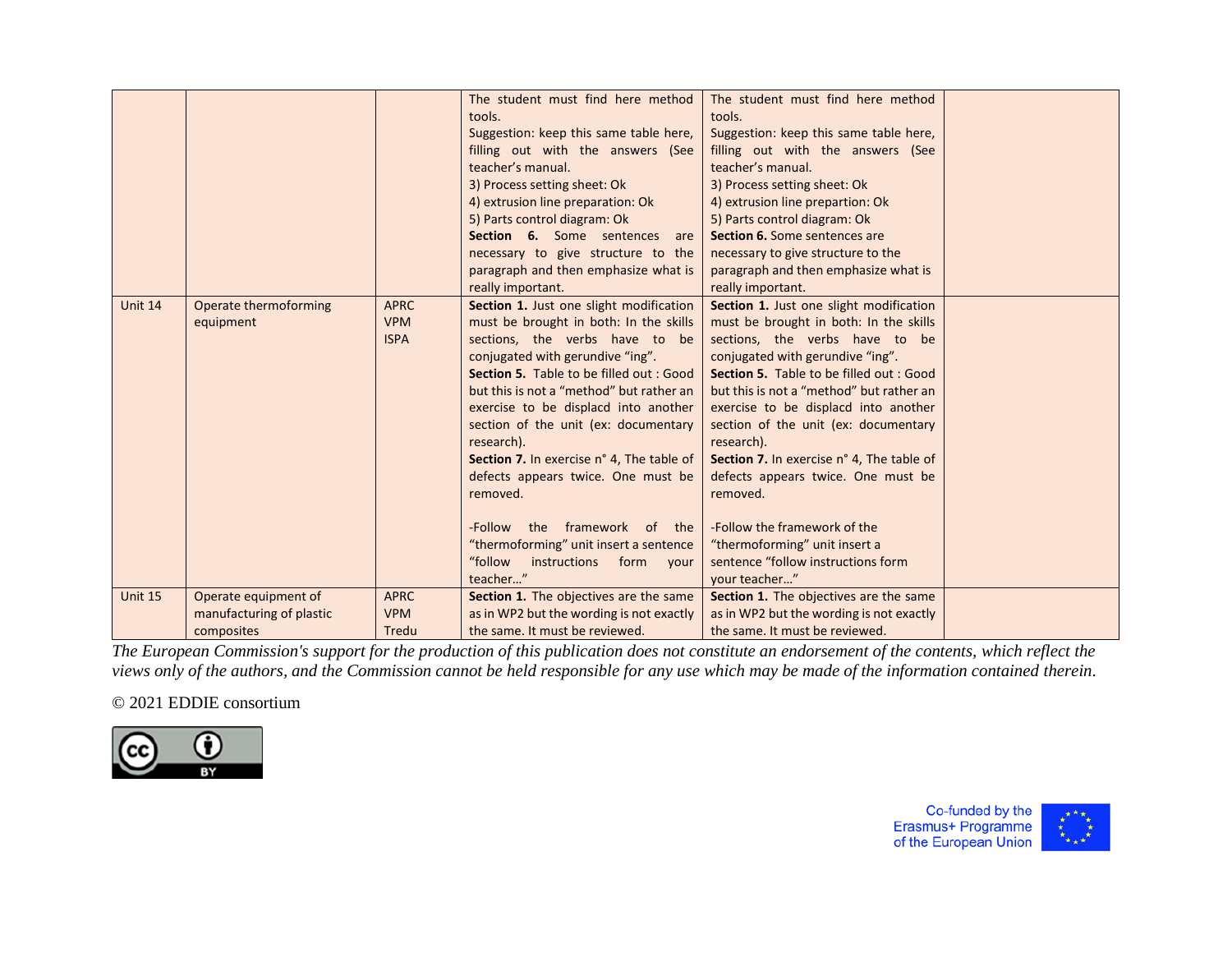|         |                                                  |                                          | The student must find here method<br>tools.<br>Suggestion: keep this same table here,<br>filling out with the answers (See<br>teacher's manual.<br>3) Process setting sheet: Ok<br>4) extrusion line preparation: Ok<br>5) Parts control diagram: Ok<br>Section 6. Some sentences<br>are<br>necessary to give structure to the<br>paragraph and then emphasize what is<br>really important.                                                                                                                                                                                             | The student must find here method<br>tools.<br>Suggestion: keep this same table here,<br>filling out with the answers (See<br>teacher's manual.<br>3) Process setting sheet: Ok<br>4) extrusion line prepartion: Ok<br>5) Parts control diagram: Ok<br>Section 6. Some sentences are<br>necessary to give structure to the<br>paragraph and then emphasize what is<br>really important.                                                                                                                                                                              |  |
|---------|--------------------------------------------------|------------------------------------------|-----------------------------------------------------------------------------------------------------------------------------------------------------------------------------------------------------------------------------------------------------------------------------------------------------------------------------------------------------------------------------------------------------------------------------------------------------------------------------------------------------------------------------------------------------------------------------------------|----------------------------------------------------------------------------------------------------------------------------------------------------------------------------------------------------------------------------------------------------------------------------------------------------------------------------------------------------------------------------------------------------------------------------------------------------------------------------------------------------------------------------------------------------------------------|--|
| Unit 14 | Operate thermoforming<br>equipment               | <b>APRC</b><br><b>VPM</b><br><b>ISPA</b> | Section 1. Just one slight modification<br>must be brought in both: In the skills<br>sections, the verbs have to be<br>conjugated with gerundive "ing".<br><b>Section 5.</b> Table to be filled out : Good<br>but this is not a "method" but rather an<br>exercise to be displacd into another<br>section of the unit (ex: documentary<br>research).<br>Section 7. In exercise n° 4, The table of<br>defects appears twice. One must be<br>removed.<br>framework of the<br>-Follow the<br>"thermoforming" unit insert a sentence<br>"follow<br>instructions<br>form<br>your<br>teacher" | Section 1. Just one slight modification<br>must be brought in both: In the skills<br>sections, the verbs have to be<br>conjugated with gerundive "ing".<br>Section 5. Table to be filled out : Good<br>but this is not a "method" but rather an<br>exercise to be displacd into another<br>section of the unit (ex: documentary<br>research).<br>Section 7. In exercise n° 4, The table of<br>defects appears twice. One must be<br>removed.<br>-Follow the framework of the<br>"thermoforming" unit insert a<br>sentence "follow instructions form<br>vour teacher" |  |
| Unit 15 | Operate equipment of<br>manufacturing of plastic | <b>APRC</b><br><b>VPM</b>                | Section 1. The objectives are the same<br>as in WP2 but the wording is not exactly                                                                                                                                                                                                                                                                                                                                                                                                                                                                                                      | Section 1. The objectives are the same<br>as in WP2 but the wording is not exactly                                                                                                                                                                                                                                                                                                                                                                                                                                                                                   |  |
|         | composites                                       | Tredu                                    | the same. It must be reviewed.                                                                                                                                                                                                                                                                                                                                                                                                                                                                                                                                                          | the same. It must be reviewed.                                                                                                                                                                                                                                                                                                                                                                                                                                                                                                                                       |  |

# © 2021 EDDIE consortium



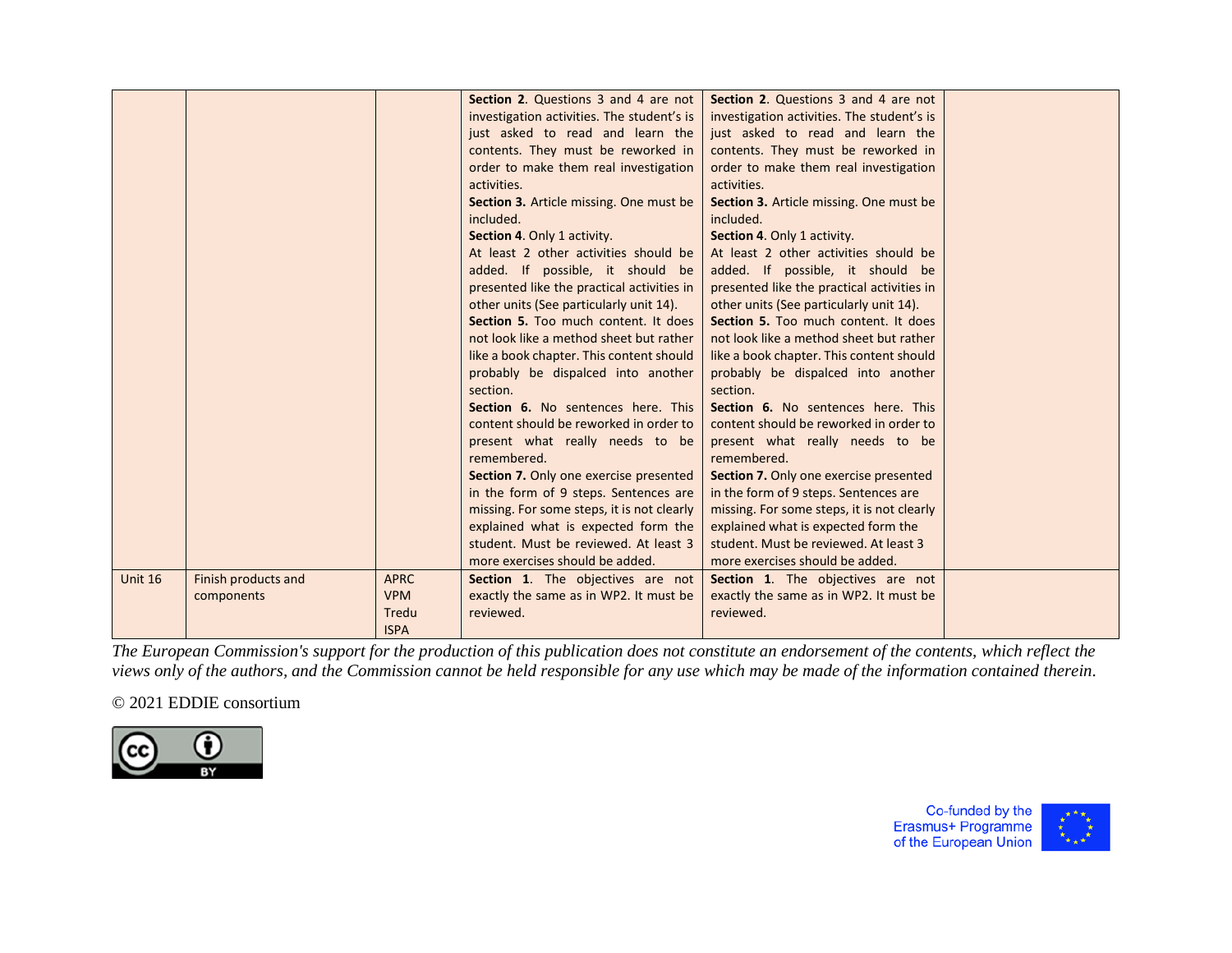|                |                     |             | Section 2. Questions 3 and 4 are not<br>investigation activities. The student's is<br>just asked to read and learn the<br>contents. They must be reworked in<br>order to make them real investigation<br>activities.<br>Section 3. Article missing. One must be<br>included.<br>Section 4. Only 1 activity.<br>At least 2 other activities should be<br>added. If possible, it should be<br>presented like the practical activities in<br>other units (See particularly unit 14).<br>Section 5. Too much content. It does<br>not look like a method sheet but rather<br>like a book chapter. This content should<br>probably be dispalced into another | Section 2. Questions 3 and 4 are not<br>investigation activities. The student's is<br>just asked to read and learn the<br>contents. They must be reworked in<br>order to make them real investigation<br>activities.<br>Section 3. Article missing. One must be<br>included.<br>Section 4. Only 1 activity.<br>At least 2 other activities should be<br>added. If possible, it should be<br>presented like the practical activities in<br>other units (See particularly unit 14).<br>Section 5. Too much content. It does<br>not look like a method sheet but rather<br>like a book chapter. This content should<br>probably be dispalced into another |  |
|----------------|---------------------|-------------|--------------------------------------------------------------------------------------------------------------------------------------------------------------------------------------------------------------------------------------------------------------------------------------------------------------------------------------------------------------------------------------------------------------------------------------------------------------------------------------------------------------------------------------------------------------------------------------------------------------------------------------------------------|--------------------------------------------------------------------------------------------------------------------------------------------------------------------------------------------------------------------------------------------------------------------------------------------------------------------------------------------------------------------------------------------------------------------------------------------------------------------------------------------------------------------------------------------------------------------------------------------------------------------------------------------------------|--|
|                |                     |             | content should be reworked in order to<br>present what really needs to be<br>remembered.                                                                                                                                                                                                                                                                                                                                                                                                                                                                                                                                                               | content should be reworked in order to<br>present what really needs to be<br>remembered.                                                                                                                                                                                                                                                                                                                                                                                                                                                                                                                                                               |  |
|                |                     |             | Section 7. Only one exercise presented<br>in the form of 9 steps. Sentences are                                                                                                                                                                                                                                                                                                                                                                                                                                                                                                                                                                        | Section 7. Only one exercise presented<br>in the form of 9 steps. Sentences are                                                                                                                                                                                                                                                                                                                                                                                                                                                                                                                                                                        |  |
|                |                     |             | missing. For some steps, it is not clearly                                                                                                                                                                                                                                                                                                                                                                                                                                                                                                                                                                                                             | missing. For some steps, it is not clearly                                                                                                                                                                                                                                                                                                                                                                                                                                                                                                                                                                                                             |  |
|                |                     |             | explained what is expected form the                                                                                                                                                                                                                                                                                                                                                                                                                                                                                                                                                                                                                    | explained what is expected form the                                                                                                                                                                                                                                                                                                                                                                                                                                                                                                                                                                                                                    |  |
|                |                     |             | student. Must be reviewed. At least 3                                                                                                                                                                                                                                                                                                                                                                                                                                                                                                                                                                                                                  | student. Must be reviewed. At least 3                                                                                                                                                                                                                                                                                                                                                                                                                                                                                                                                                                                                                  |  |
|                |                     |             | more exercises should be added.                                                                                                                                                                                                                                                                                                                                                                                                                                                                                                                                                                                                                        | more exercises should be added.                                                                                                                                                                                                                                                                                                                                                                                                                                                                                                                                                                                                                        |  |
| <b>Unit 16</b> | Finish products and | <b>APRC</b> | Section 1. The objectives are not                                                                                                                                                                                                                                                                                                                                                                                                                                                                                                                                                                                                                      | Section 1. The objectives are not                                                                                                                                                                                                                                                                                                                                                                                                                                                                                                                                                                                                                      |  |
|                | components          | <b>VPM</b>  | exactly the same as in WP2. It must be                                                                                                                                                                                                                                                                                                                                                                                                                                                                                                                                                                                                                 | exactly the same as in WP2. It must be                                                                                                                                                                                                                                                                                                                                                                                                                                                                                                                                                                                                                 |  |
|                |                     | Tredu       | reviewed.                                                                                                                                                                                                                                                                                                                                                                                                                                                                                                                                                                                                                                              | reviewed.                                                                                                                                                                                                                                                                                                                                                                                                                                                                                                                                                                                                                                              |  |
|                |                     | <b>ISPA</b> |                                                                                                                                                                                                                                                                                                                                                                                                                                                                                                                                                                                                                                                        |                                                                                                                                                                                                                                                                                                                                                                                                                                                                                                                                                                                                                                                        |  |

# © 2021 EDDIE consortium